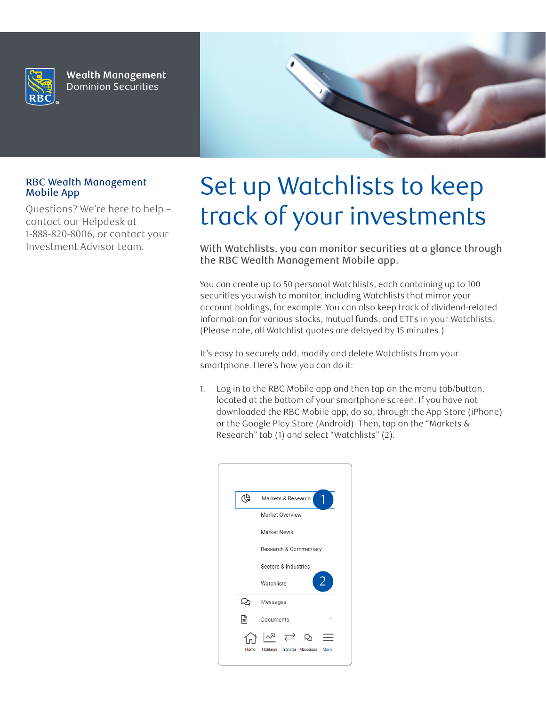

**Wealth Management Dominion Securities** 



## RBC Wealth Management Mobile App

Questions? We're here to help – contact our Helpdesk at 1-888-820-8006, or contact your Investment Advisor team.

## Set up Watchlists to keep track of your investments

With Watchlists, you can monitor securities at a glance through the RBC Wealth Management Mobile app.

You can create up to 50 personal Watchlists, each containing up to 100 securities you wish to monitor, including Watchlists that mirror your account holdings, for example. You can also keep track of dividend-related information for various stocks, mutual funds, and ETFs in your Watchlists. (Please note, all Watchlist quotes are delayed by 15 minutes.)

It's easy to securely add, modify and delete Watchlists from your smartphone. Here's how you can do it:

1. Log in to the RBC Mobile app and then tap on the menu tab/button, located at the bottom of your smartphone screen. If you have not downloaded the RBC Mobile app, do so, through the App Store (iPhone) or the Google Play Store (Android). Then, tap on the "Markets & Research" tab (1) and select "Watchlists" (2).

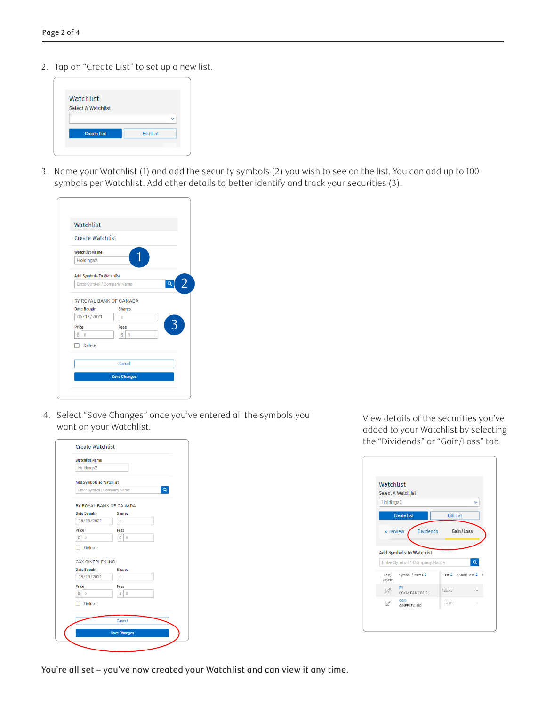2. Tap on "Create List" to set up a new list.

| <b>Edit List</b> |
|------------------|
|                  |

3. Name your Watchlist (1) and add the security symbols (2) you wish to see on the list. You can add up to 100 symbols per Watchlist. Add other details to better identify and track your securities (3).

| Watchlist                       |               |                            |
|---------------------------------|---------------|----------------------------|
| <b>Create Watchlist</b>         |               |                            |
| <b>Watchlist Name</b>           |               |                            |
| Holdings2                       |               |                            |
| <b>Add Symbols To Watchlist</b> |               |                            |
| Enter Symbol / Company Name     |               | $\overline{2}$<br>$\alpha$ |
|                                 |               |                            |
| RY ROYAL BANK OF CANADA         |               |                            |
| <b>Date Bought</b>              | <b>Shares</b> |                            |
| 05/18/2021                      | Ō             |                            |
| Price                           | Fees          | 3                          |
| Ś<br>$\Omega$                   | Ś<br>$\Omega$ |                            |
| <b>Delete</b>                   |               |                            |
|                                 | Cancel        |                            |

4. Select "Save Changes" once you've entered all the symbols you want on your Watchlist.

| <b>Watchlist Name</b>           |                     |
|---------------------------------|---------------------|
| Holdings2                       |                     |
| <b>Add Symbols To Watchlist</b> |                     |
| Enter Symbol / Company Name     | O                   |
| <b>RY ROYAL BANK OF CANADA</b>  |                     |
| <b>Date Bought</b>              | <b>Shares</b>       |
| 05/18/2021                      | $\overline{0}$      |
| Price                           | Fees                |
| Ś<br>$\Omega$                   | Ś<br>$\Omega$       |
| Delete                          |                     |
| <b>CGX CINEPLEX INC.</b>        |                     |
| <b>Date Bought</b>              | <b>Shares</b>       |
| 05/18/2021                      | O                   |
| Price                           | Fees                |
| Ś<br>$\bf{0}$                   | Ś<br>$\mathbf{0}$   |
| Delete                          |                     |
|                                 |                     |
|                                 | Cancel              |
|                                 | <b>Save Changes</b> |

View details of the securities you've added to your Watchlist by selecting the "Dividends" or "Gain/Loss" tab.

|                 | <b>Select A Watchlist</b>                                      |        |                         |
|-----------------|----------------------------------------------------------------|--------|-------------------------|
| Holdings2       |                                                                |        |                         |
|                 | <b>Create List</b>                                             |        | <b>Edit List</b>        |
|                 | <b>Dividends</b>                                               |        |                         |
|                 | <b>Add Symbols To Watchlist</b><br>Enter Symbol / Company Name |        |                         |
| Edit/<br>Delete | Symbol / Name ◆                                                |        | Last \$ SGain/Loss \$ 9 |
| $\boxtimes$     | RY<br>ROYAL BANK OF C                                          | 122.73 |                         |

You're all set – you've now created your Watchlist and can view it any time.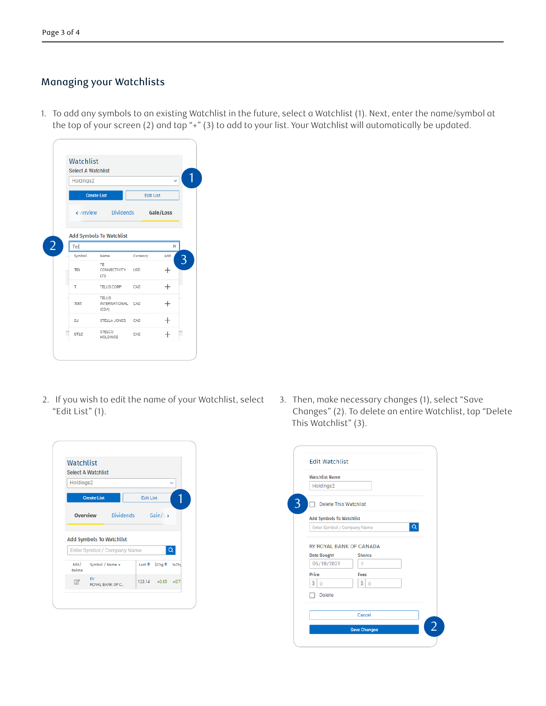## Managing your Watchlists

1. To add any symbols to an existing Watchlist in the future, select a Watchlist (1). Next, enter the name/symbol at the top of your screen (2) and tap "+" (3) to add to your list. Your Watchlist will automatically be updated.

| Watchlist                 |                                        |                  |           |
|---------------------------|----------------------------------------|------------------|-----------|
| <b>Select A Watchlist</b> |                                        |                  |           |
| Holdings2                 |                                        |                  |           |
|                           | <b>Create List</b>                     | <b>Edit List</b> |           |
|                           | verview Dividends                      |                  | Gain/Loss |
|                           | <b>Add Symbols To Watchlist</b>        |                  |           |
|                           |                                        |                  |           |
| Tel                       |                                        |                  | ×         |
| Symbol                    | Name                                   | Currency         | Add       |
| <b>TEL</b>                | TE<br>CONNECTIVITY<br>LTD              | <b>USD</b>       | $^+$      |
| т                         | TELUS CORP                             | CAD              | $^+$      |
| TIXT                      | TELUS<br><b>INTERNATIONAL</b><br>(CDA) | CAD              | $^+$      |
| SJ                        | STELLA JONES                           | CAD              |           |

2. If you wish to edit the name of your Watchlist, select "Edit List" (1).

|                 | Watchlist<br><b>Select A Watchlist</b>                         |                  |                         |              |
|-----------------|----------------------------------------------------------------|------------------|-------------------------|--------------|
| Holdings2       |                                                                |                  |                         | $\checkmark$ |
|                 | <b>Create List</b>                                             | <b>Edit List</b> |                         |              |
|                 | <b>Overview</b> Dividends Gain/L>                              |                  |                         |              |
|                 |                                                                |                  |                         |              |
|                 | <b>Add Symbols To Watchlist</b><br>Enter Symbol / Company Name |                  |                         |              |
| Edit/<br>Delete | Symbol / Name -                                                |                  | Last $\div$ Schg $\div$ | %Ch          |

3. Then, make necessary changes (1), select "Save Changes" (2). To delete an entire Watchlist, tap "Delete This Watchlist" (3).

| <b>Watchlist Name</b>                                |                      |  |
|------------------------------------------------------|----------------------|--|
| Holdings2                                            |                      |  |
| <b>Delete This Watchlist</b>                         |                      |  |
| <b>Add Symbols To Watchlist</b>                      |                      |  |
| Enter Symbol / Company Name                          |                      |  |
|                                                      |                      |  |
|                                                      |                      |  |
| <b>RY ROYAL BANK OF CANADA</b><br><b>Date Bought</b> | <b>Shares</b>        |  |
| 05/18/2021                                           | $\Omega$             |  |
| Price                                                | Fees                 |  |
| Ś<br>$\Omega$                                        | Ś.<br>$\overline{0}$ |  |
| <b>Delete</b>                                        |                      |  |
|                                                      |                      |  |